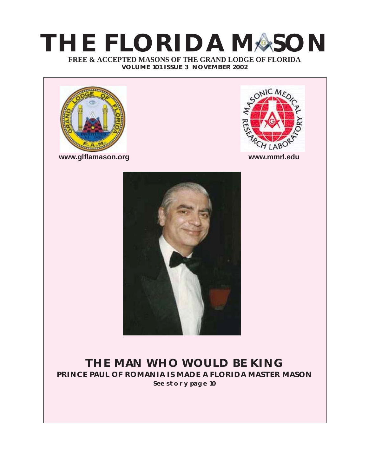# **FREE & ACCEPTED MASONS OF THE GRAND LODGE OF FLORIDA THE FLORIDA MASON**

**VOLUME 101 ISSUE 3 NOVEMBER 2002**



**www.glflamason.org www.mmrl.edu**





## **THE MAN WHO WOULD BE KING PRINCE PAUL OF ROMANIA IS MADE A FLORIDA MASTER MASON SEE STORY PAGE 10**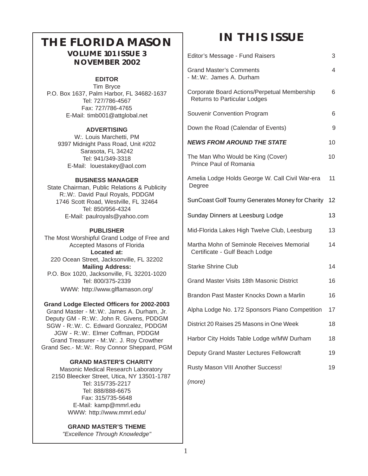## **THE FLORIDA MASON VOLUME 101 ISSUE 3**

### **NOVEMBER 2002**

#### **EDITOR**

Tim Bryce P.O. Box 1637, Palm Harbor, FL 34682-1637 Tel: 727/786-4567 Fax: 727/786-4765 E-Mail: timb001@attglobal.net

#### **ADVERTISING**

W*:.* Louis Marchetti, PM 9397 Midnight Pass Road, Unit #202 Sarasota, FL 34242 Tel: 941/349-3318 E-Mail: louestakey@aol.com

#### **BUSINESS MANAGER**

State Chairman, Public Relations & Publicity R*:.*W*:.* David Paul Royals, PDDGM 1746 Scott Road, Westville, FL 32464 Tel: 850/956-4324 E-Mail: paulroyals@yahoo.com

#### **PUBLISHER**

The Most Worshipful Grand Lodge of Free and Accepted Masons of Florida **Located at:** 220 Ocean Street, Jacksonville, FL 32202 **Mailing Address:** P.O. Box 1020, Jacksonville, FL 32201-1020 Tel: 800/375-2339 WWW: http://www.glflamason.org/

#### **Grand Lodge Elected Officers for 2002-2003**

Grand Master - M*:.*W*:.* James A. Durham, Jr. Deputy GM - R*:.*W*:.* John R. Givens, PDDGM SGW - R*:.*W*:.* C. Edward Gonzalez, PDDGM JGW - R*:.*W*:.* Elmer Coffman, PDDGM Grand Treasurer - M*:.*W*:.* J. Roy Crowther Grand Sec.- M*:.*W*:.* Roy Connor Sheppard, PGM

#### **GRAND MASTER'S CHARITY**

 Masonic Medical Research Laboratory 2150 Bleecker Street, Utica, NY 13501-1787 Tel: 315/735-2217 Tel: 888/888-6675 Fax: 315/735-5648 E-Mail: kamp@mmrl.edu WWW: http://www.mmrl.edu/

## **GRAND MASTER'S THEME**

*"Excellence Through Knowledge"*

# **IN THIS ISSUE**

| Editor's Message - Fund Raisers                                                     | 3  |
|-------------------------------------------------------------------------------------|----|
| <b>Grand Master's Comments</b><br>- M.W. James A. Durham                            | 4  |
| Corporate Board Actions/Perpetual Membership<br><b>Returns to Particular Lodges</b> | 6  |
| Souvenir Convention Program                                                         | 6  |
| Down the Road (Calendar of Events)                                                  | 9  |
| <b>NEWS FROM AROUND THE STATE</b>                                                   | 10 |
| The Man Who Would be King (Cover)<br>Prince Paul of Romania                         | 10 |
| Amelia Lodge Holds George W. Call Civil War-era<br>Degree                           | 11 |
| SunCoast Golf Tourny Generates Money for Charity                                    | 12 |
| Sunday Dinners at Leesburg Lodge                                                    | 13 |
| Mid-Florida Lakes High Twelve Club, Leesburg                                        | 13 |
| Martha Mohn of Seminole Receives Memorial<br>Certificate - Gulf Beach Lodge         | 14 |
| <b>Starke Shrine Club</b>                                                           | 14 |
| Grand Master Visits 18th Masonic District                                           | 16 |
| Brandon Past Master Knocks Down a Marlin                                            | 16 |
| Alpha Lodge No. 172 Sponsors Piano Competition                                      | 17 |
| District 20 Raises 25 Masons in One Week                                            | 18 |
| Harbor City Holds Table Lodge w/MW Durham                                           | 18 |
| Deputy Grand Master Lectures Fellowcraft                                            | 19 |
| Rusty Mason VIII Another Success!                                                   | 19 |
|                                                                                     |    |

*(more)*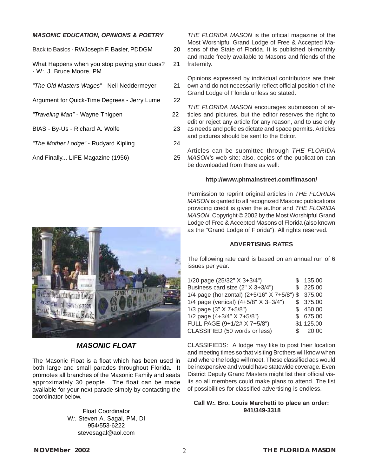#### *MASONIC EDUCATION, OPINIONS & POETRY*

| Back to Basics - RWJoseph F. Basler, PDDGM                               | 20 |
|--------------------------------------------------------------------------|----|
| What Happens when you stop paying your dues?<br>- W:. J. Bruce Moore, PM | 21 |
| "The Old Masters Wages" - Neil Neddermeyer                               | 21 |
| Argument for Quick-Time Degrees - Jerry Lume                             | 22 |
| "Traveling Man" - Wayne Thigpen                                          | 22 |
| BIAS - By-Us - Richard A. Wolfe                                          | 23 |
| "The Mother Lodge" - Rudyard Kipling                                     | 24 |
| And Finally LIFE Magazine (1956)                                         | 25 |
|                                                                          |    |

FAMILY TILL

*MASONIC FLOAT*

The Masonic Float is a float which has been used in both large and small parades throughout Florida. It promotes all branches of the Masonic Family and seats approximately 30 people. The float can be made available for your next parade simply by contacting the coordinator below.

> Float Coordinator W*:.* Steven A. Sagal, PM, DI 954/553-6222 stevesagal@aol.com

*THE FLORIDA MASON* is the official magazine of the Most Worshipful Grand Lodge of Free & Accepted Masons of the State of Florida. It is published bi-monthly and made freely available to Masons and friends of the fraternity.

Opinions expressed by individual contributors are their own and do not necessarily reflect official position of the Grand Lodge of Florida unless so stated.

*THE FLORIDA MASON* encourages submission of articles and pictures, but the editor reserves the right to edit or reject any article for any reason, and to use only as needs and policies dictate and space permits. Articles and pictures should be sent to the Editor.

Articles can be submitted through *THE FLORIDA MASON's* web site; also, copies of the publication can be downloaded from there as well:

#### **http://www.phmainstreet.com/flmason/**

Permission to reprint original articles in *THE FLORIDA MASON* is ganted to all recognized Masonic publications providing credit is given the author and *THE FLORIDA MASON*. Copyright © 2002 by the Most Worshipful Grand Lodge of Free & Accepted Masons of Florida (also known as the "Grand Lodge of Florida"). All rights reserved.

#### **ADVERTISING RATES**

The following rate card is based on an annual run of 6 issues per year.

| 1/20 page (25/32" X 3+3/4")                        | \$135.00   |
|----------------------------------------------------|------------|
| Business card size (2" X 3+3/4")                   | \$225.00   |
| 1/4 page (horizontal) (2+5/16" X 7+5/8") \$ 375.00 |            |
| 1/4 page (vertical) $(4+5/8" X 3+3/4")$            | \$375.00   |
| 1/3 page (3" X 7+5/8")                             | \$450.00   |
| 1/2 page $(4+3/4" X 7+5/8")$                       | \$675.00   |
| FULL PAGE (9+1/2# X 7+5/8")                        | \$1,125.00 |
| CLASSIFIED (50 words or less)                      | \$ 20.00   |

CLASSIFIEDS: A lodge may like to post their location and meeting times so that visiting Brothers will know when and where the lodge will meet. These classified ads would be inexpensive and would have statewide coverage. Even District Deputy Grand Masters might list their official visits so all members could make plans to attend. The list of possibilities for classified advertising is endless.

#### **Call W***:.* **Bro. Louis Marchetti to place an order: 941/349-3318**

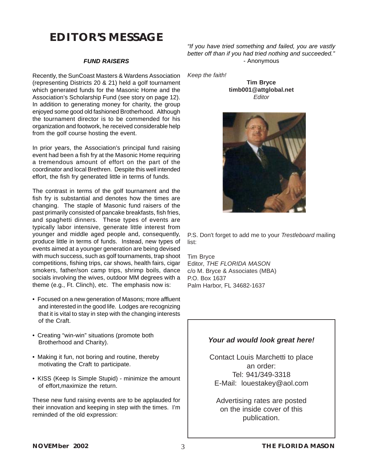# **EDITOR'S MESSAGE**

#### *FUND RAISERS*

Recently, the SunCoast Masters & Wardens Association (representing Districts 20 & 21) held a golf tournament which generated funds for the Masonic Home and the Association's Scholarship Fund (see story on page 12). In addition to generating money for charity, the group enjoyed some good old fashioned Brotherhood. Although the tournament director is to be commended for his organization and footwork, he received considerable help from the golf course hosting the event.

In prior years, the Association's principal fund raising event had been a fish fry at the Masonic Home requiring a tremendous amount of effort on the part of the coordinator and local Brethren. Despite this well intended effort, the fish fry generated little in terms of funds.

The contrast in terms of the golf tournament and the fish fry is substantial and denotes how the times are changing. The staple of Masonic fund raisers of the past primarily consisted of pancake breakfasts, fish fries, and spaghetti dinners. These types of events are typically labor intensive, generate little interest from younger and middle aged people and, consequently, produce little in terms of funds. Instead, new types of events aimed at a younger generation are being devised with much success, such as golf tournaments, trap shoot competitions, fishing trips, car shows, health fairs, cigar smokers, father/son camp trips, shrimp boils, dance socials involving the wives, outdoor MM degrees with a theme (e.g., Ft. Clinch), etc. The emphasis now is:

- Focused on a new generation of Masons; more affluent and interested in the good life. Lodges are recognizing that it is vital to stay in step with the changing interests of the Craft.
- Creating "win-win" situations (promote both Brotherhood and Charity).
- Making it fun, not boring and routine, thereby motivating the Craft to participate.
- KISS (Keep Is Simple Stupid) minimize the amount of effort,maximize the return.

These new fund raising events are to be applauded for their innovation and keeping in step with the times. I'm reminded of the old expression:

*"If you have tried something and failed, you are vastly better off than if you had tried nothing and succeeded."* - Anonymous

*Keep the faith!*

**Tim Bryce timb001@attglobal.net** *Editor*



P.S. Don't forget to add me to your *Trestleboard* mailing list:

Tim Bryce Editor, *THE FLORIDA MASON* c/o M. Bryce & Associates (MBA) P.O. Box 1637 Palm Harbor, FL 34682-1637

#### *Your ad would look great here!*

Contact Louis Marchetti to place an order: Tel: 941/349-3318 E-Mail: louestakey@aol.com

Advertising rates are posted on the inside cover of this publication.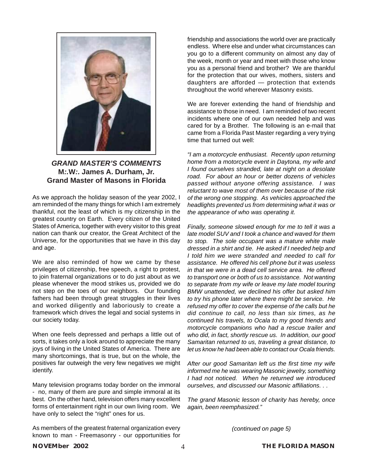

#### *GRAND MASTER'S COMMENTS* **M***:.***W***:.* **James A. Durham, Jr. Grand Master of Masons in Florida**

As we approach the holiday season of the year 2002, I am reminded of the many things for which I am extremely thankful, not the least of which is my citizenship in the greatest country on Earth. Every citizen of the United States of America, together with every visitor to this great nation can thank our creator, the Great Architect of the Universe, for the opportunities that we have in this day and age.

We are also reminded of how we came by these privileges of citizenship, free speech, a right to protest, to join fraternal organizations or to do just about as we please whenever the mood strikes us, provided we do not step on the toes of our neighbors. Our founding fathers had been through great struggles in their lives and worked diligently and laboriously to create a framework which drives the legal and social systems in our society today.

When one feels depressed and perhaps a little out of sorts, it takes only a look around to appreciate the many joys of living in the United States of America. There are many shortcomings, that is true, but on the whole, the positives far outweigh the very few negatives we might identify.

Many television programs today border on the immoral - no, many of them are pure and simple immoral at its best. On the other hand, television offers many excellent forms of entertainment right in our own living room. We have only to select the "right" ones for us.

As members of the greatest fraternal organization every known to man - Freemasonry - our opportunities for

friendship and associations the world over are practically endless. Where else and under what circumstances can you go to a different community on almost any day of the week, month or year and meet with those who know you as a personal friend and brother? We are thankful for the protection that our wives, mothers, sisters and daughters are afforded — protection that extends throughout the world wherever Masonry exists.

We are forever extending the hand of friendship and assistance to those in need. I am reminded of two recent incidents where one of our own needed help and was cared for by a Brother. The following is an e-mail that came from a Florida Past Master regarding a very trying time that turned out well:

*"I am a motorcycle enthusiast. Recently upon returning home from a motorcycle event in Daytona, my wife and I found ourselves stranded, late at night on a desolate road. For about an hour or better dozens of vehicles passed without anyone offering assistance. I was reluctant to wave most of them over because of the risk of the wrong one stopping. As vehicles approached the headlights prevented us from determining what it was or the appearance of who was operating it.*

*Finally, someone slowed enough for me to tell it was a late model SUV and I took a chance and waved for them to stop. The sole occupant was a mature white male dressed in a shirt and tie. He asked if I needed help and I told him we were stranded and needed to call for assistance. He offered his cell phone but it was useless in that we were in a dead cell service area. He offered to transport one or both of us to assistance. Not wanting to separate from my wife or leave my late model touring BMW unattended, we declined his offer but asked him to try his phone later where there might be service. He refused my offer to cover the expense of the calls but he did continue to call, no less than six times, as he continued his travels, to Ocala to my good friends and motorcycle companions who had a rescue trailer and who did, in fact, shortly rescue us. In addition, our good Samaritan returned to us, traveling a great distance, to let us know he had been able to contact our Ocala friends.*

*After our good Samaritan left us the first time my wife informed me he was wearing Masonic jewelry, something I had not noticed. When he returned we introduced ourselves, and discussed our Masonic affiliations. . .*

*The grand Masonic lesson of charity has hereby, once again, been reemphasized."*

*(continued on page 5)*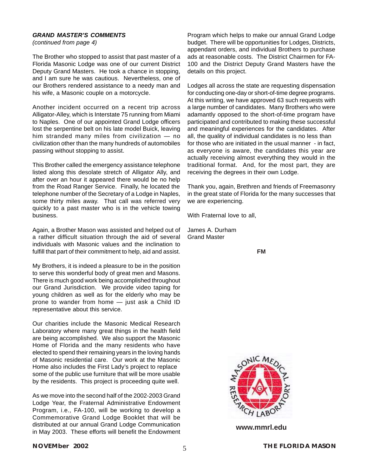#### *GRAND MASTER'S COMMENTS*

*(continued from page 4)*

The Brother who stopped to assist that past master of a Florida Masonic Lodge was one of our current District Deputy Grand Masters. He took a chance in stopping, and I am sure he was cautious. Nevertheless, one of our Brothers rendered assistance to a needy man and his wife, a Masonic couple on a motorcycle.

Another incident occurred on a recent trip across Alligator-Alley, which is Interstate 75 running from Miami to Naples. One of our appointed Grand Lodge officers lost the serpentine belt on his late model Buick, leaving him stranded many miles from civilization — no civilization other than the many hundreds of automobiles passing without stopping to assist.

This Brother called the emergency assistance telephone listed along this desolate stretch of Alligator Ally, and after over an hour it appeared there would be no help from the Road Ranger Service. Finally, he located the telephone number of the Secretary of a Lodge in Naples, some thirty miles away. That call was referred very quickly to a past master who is in the vehicle towing business.

Again, a Brother Mason was assisted and helped out of a rather difficult situation through the aid of several individuals with Masonic values and the inclination to fulfill that part of their commitment to help, aid and assist.

My Brothers, it is indeed a pleasure to be in the position to serve this wonderful body of great men and Masons. There is much good work being accomplished throughout our Grand Jurisdiction. We provide video taping for young children as well as for the elderly who may be prone to wander from home — just ask a Child ID representative about this service.

Our charities include the Masonic Medical Research Laboratory where many great things in the health field are being accomplished. We also support the Masonic Home of Florida and the many residents who have elected to spend their remaining years in the loving hands of Masonic residential care. Our work at the Masonic Home also includes the First Lady's project to replace some of the public use furniture that will be more usable by the residents. This project is proceeding quite well.

As we move into the second half of the 2002-2003 Grand Lodge Year, the Fraternal Administrative Endowment Program, i.e., FA-100, will be working to develop a Commemorative Grand Lodge Booklet that will be distributed at our annual Grand Lodge Communication in May 2003. These efforts will benefit the Endowment

Program which helps to make our annual Grand Lodge budget. There will be opportunities for Lodges, Districts, appendant orders, and individual Brothers to purchase ads at reasonable costs. The District Chairmen for FA-100 and the District Deputy Grand Masters have the details on this project.

Lodges all across the state are requesting dispensation for conducting one-day or short-of-time degree programs. At this writing, we have approved 63 such requests with a large number of candidates. Many Brothers who were adamantly opposed to the short-of-time program have participated and contributed to making these successful and meaningful experiences for the candidates. After all, the quality of individual candidates is no less than for those who are initiated in the usual manner - in fact, as everyone is aware, the candidates this year are actually receiving almost everything they would in the traditional format. And, for the most part, they are receiving the degrees in their own Lodge.

Thank you, again, Brethren and friends of Freemasonry in the great state of Florida for the many successes that we are experiencing.

With Fraternal love to all,

James A. Durham Grand Master

**FM**



**www.mmrl.edu**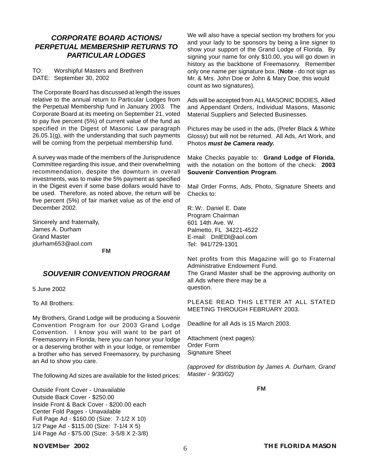#### *CORPORATE BOARD ACTIONS/ PERPETUAL MEMBERSHIP RETURNS TO PARTICULAR LODGES*

TO: Worshipful Masters and Brethren DATE: September 30, 2002

The Corporate Board has discussed at length the issues relative to the annual return to Particular Lodges from the Perpetual Membership fund in January 2003. The Corporate Board at its meeting on September 21, voted to pay five percent (5%) of current value of the fund as specified in the Digest of Masonic Law paragraph 26.05.1(g), with the understanding that such payments will be coming from the perpetual membership fund.

A survey was made of the members of the Jurisprudence Committee regarding this issue, and their overwhelming recommendation, despite the downturn in overall investments, was to make the 5% payment as specified in the Digest even if some base dollars would have to be used. Therefore, as noted above, the return will be five percent (5%) of fair market value as of the end of December 2002.

Sincerely and fraternally, James A. Durham Grand Master jdurham653@aol.com

**FM**

#### *SOUVENIR CONVENTION PROGRAM*

5 June 2002

To All Brothers:

My Brothers, Grand Lodge will be producing a Souvenir Convention Program for our 2003 Grand Lodge Convention. I know you will want to be part of Freemasonry in Florida, here you can honor your lodge or a deserving brother with in your lodge, or remember a brother who has served Freemasonry, by purchasing an Ad to show you care.

The following Ad sizes are available for the listed prices:

Outside Front Cover - Unavailable Outside Back Cover - \$250.00 Inside Front & Back Cover - \$200.00 each Center Fold Pages - Unavailable Full Page Ad - \$160.00 (Size: 7-1/2 X 10) 1/2 Page Ad - \$115.00 (Size: 7-1/4 X 5) 1/4 Page Ad - \$75.00 (Size: 3-5/8 X 2-3/8)

#### We will also have a special section my brothers for you and your lady to be sponsors by being a line signer to show your support of the Grand Lodge of Florida. By signing your name for only \$10.00, you will go down in history as the backbone of Freemasonry. Remember only one name per signature box. (**Note** - do not sign as Mr. & Mrs. John Doe or John & Mary Doe, this would count as two signatures).

Ads will be accepted from ALL MASONIC BODIES, Allied and Appendant Orders, Individual Masons, Masonic Material Suppliers and Selected Businesses.

Pictures may be used in the ads, (Prefer Black & White Glossy) but will not be returned. All Ads, Art Work, and Photos *must be Camera ready.*

Make Checks payable to: **Grand Lodge of Florida**, with the notation on the bottom of the check: **2003 Souvenir Convention Program**.

Mail Order Forms, Ads, Photo, Signature Sheets and Checks to:

R*:.*W*:.* Daniel E. Date Program Chairman 601 14th Ave. W. Palmetto, FL 34221-4522 E-mail: DnlEDl@aol.com Tel: 941/729-1301

Net profits from this Magazine will go to Fraternal Administrative Endowment Fund. The Grand Master shall be the approving authority on all Ads where there may be a question.

PLEASE READ THIS LETTER AT ALL STATED MEETING THROUGH FEBRUARY 2003.

Deadline for all Ads is 15 March 2003.

Attachment (next pages): Order Form Signature Sheet

*(approved for distribution by James A. Durham, Grand Master - 9/30/02)*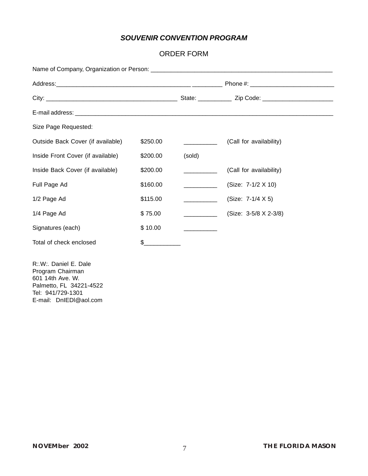### *SOUVENIR CONVENTION PROGRAM*

#### ORDER FORM

| Size Page Requested:              |          |        |                         |  |  |  |
|-----------------------------------|----------|--------|-------------------------|--|--|--|
| Outside Back Cover (if available) | \$250.00 |        | (Call for availability) |  |  |  |
| Inside Front Cover (if available) | \$200.00 | (sold) |                         |  |  |  |
| Inside Back Cover (if available)  | \$200.00 |        | (Call for availability) |  |  |  |
| Full Page Ad                      | \$160.00 |        | (Size: 7-1/2 X 10)      |  |  |  |
| 1/2 Page Ad                       | \$115.00 |        | (Size: 7-1/4 X 5)       |  |  |  |
| 1/4 Page Ad                       | \$75.00  |        | (Size: 3-5/8 X 2-3/8)   |  |  |  |
| Signatures (each)                 | \$10.00  |        |                         |  |  |  |
| Total of check enclosed           | $\sim$   |        |                         |  |  |  |

R*:.*W*:.* Daniel E. Dale Program Chairman 601 14th Ave. W. Palmetto, FL 34221-4522 Tel: 941/729-1301 E-mail: DnIEDl@aol.com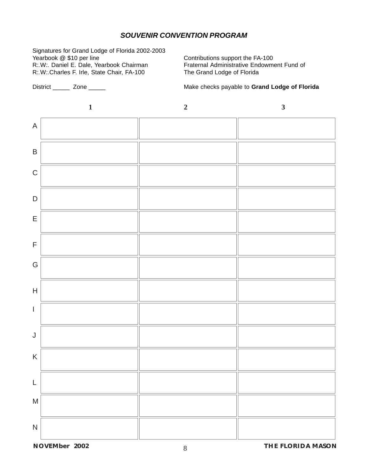#### *SOUVENIR CONVENTION PROGRAM*

Signatures for Grand Lodge of Florida 2002-2003 Yearbook @ \$10 per line Contributions support the FA-100<br>R:W: Daniel E. Dale, Yearbook Chairman Fraternal Administrative Endowm R*:.*W*:.*Charles F. Irle, State Chair, FA-100 The Grand Lodge of Florida

**Fraternal Administrative Endowment Fund of** 

District \_\_\_\_\_ Zone \_\_\_\_\_ Make checks payable to **Grand Lodge of Florida**



**NOVEMBER 2002 8 THE FLORIDA MASON**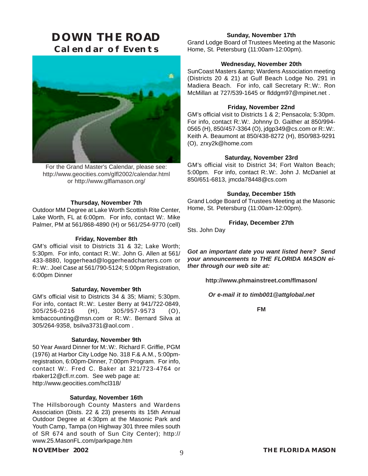## **DOWN THE ROAD Calendar of Events**



For the Grand Master's Calendar, please see: http://www.geocities.com/glfl2002/calendar.html or http://www.glflamason.org/

#### **Thursday, November 7th**

Outdoor MM Degree at Lake Worth Scottish Rite Center, Lake Worth, FL at 6:00pm. For info, contact W*:.* Mike Palmer, PM at 561/868-4890 (H) or 561/254-9770 (cell)

#### **Friday, November 8th**

GM's official visit to Districts 31 & 32; Lake Worth; 5:30pm. For info, contact R*:.*W*:.* John G. Allen at 561/ 433-8880, loggerhead@loggerheadcharters.com or R*:.*W*:.* Joel Case at 561/790-5124; 5:00pm Registration, 6:00pm Dinner

#### **Saturday, November 9th**

GM's official visit to Districts 34 & 35; Miami; 5:30pm. For info, contact R*:.*W*:.* Lester Berry at 941/722-0849, 305/256-0216 (H), 305/957-9573 (O), kmbaccounting@msn.com or R*:.*W*:.* Bernard Silva at 305/264-9358, bsilva3731@aol.com .

#### **Saturday, November 9th**

50 Year Award Dinner for M*:.*W*:.* Richard F. Griffie, PGM (1976) at Harbor City Lodge No. 318 F.& A.M., 5:00pmregistration, 6:00pm-Dinner, 7:00pm Program. For info, contact W*:.* Fred C. Baker at 321/723-4764 or rbaker12@cfl.rr.com. See web page at: http://www.geocities.com/hcl318/

#### **Saturday, November 16th**

The Hillsborough County Masters and Wardens Association (Dists. 22 & 23) presents its 15th Annual Outdoor Degree at 4:30pm at the Masonic Park and Youth Camp, Tampa (on Highway 301 three miles south of SR 674 and south of Sun City Center); http:// www.25.MasonFL.com/parkpage.htm

#### **Sunday, November 17th**

Grand Lodge Board of Trustees Meeting at the Masonic Home, St. Petersburg (11:00am-12:00pm).

#### **Wednesday, November 20th**

SunCoast Masters & amp; Wardens Association meeting (Districts 20 & 21) at Gulf Beach Lodge No. 291 in Madiera Beach. For info, call Secretary R*:.*W*:.* Ron McMillan at 727/539-1645 or flddgm97@mpinet.net .

#### **Friday, November 22nd**

GM's official visit to Districts 1 & 2; Pensacola; 5:30pm. For info, contact R*:.*W*:.* Johnny D. Gaither at 850/994- 0565 (H), 850/457-3364 (O), jdgp349@cs.com or R*:.*W*:.* Keith A. Beaumont at 850/438-8272 (H), 850/983-9291 (O), zrxy2k@home.com

#### **Saturday, November 23rd**

GM's official visit to District 34; Fort Walton Beach; 5:00pm. For info, contact R*:.*W*:.* John J. McDaniel at 850/651-6813, jmcda78448@cs.com

#### **Sunday, December 15th**

Grand Lodge Board of Trustees Meeting at the Masonic Home, St. Petersburg (11:00am-12:00pm).

#### **Friday, December 27th**

Sts. John Day

*Got an important date you want listed here? Send your announcements to THE FLORIDA MASON either through our web site at:*

**http://www.phmainstreet.com/flmason/**

*Or e-mail it to timb001@attglobal.net*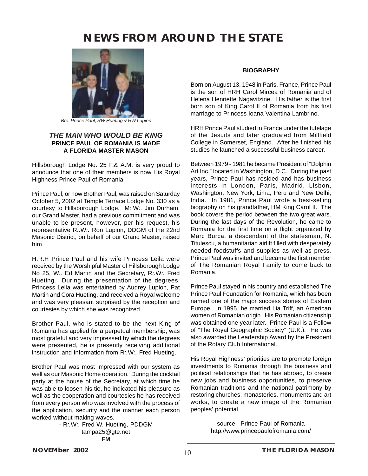## **NEWS FROM AROUND THE STATE**



*Bro. Prince Paul, RW Hueting & RW Lupion*

#### *THE MAN WHO WOULD BE KING* **PRINCE PAUL OF ROMANIA IS MADE A FLORIDA MASTER MASON**

Hillsborough Lodge No. 25 F.& A.M. is very proud to announce that one of their members is now His Royal Highness Prince Paul of Romania

Prince Paul, or now Brother Paul, was raised on Saturday October 5, 2002 at Temple Terrace Lodge No. 330 as a courtesy to Hillsborough Lodge. M*:.*W*:.* Jim Durham, our Grand Master, had a previous commitment and was unable to be present, however, per his request, his representative R*:.*W*:.* Ron Lupion, DDGM of the 22nd Masonic District, on behalf of our Grand Master, raised him.

H.R.H Prince Paul and his wife Princess Leila were received by the Worshipful Master of Hillsborough Lodge No 25, W*:.* Ed Martin and the Secretary, R*:.*W*:.* Fred Hueting. During the presentation of the degrees, Princess Leila was entertained by Audrey Lupion, Pat Martin and Cora Hueting, and received a Royal welcome and was very pleasant surprised by the reception and courtesies by which she was recognized.

Brother Paul, who is stated to be the next King of Romania has applied for a perpetual membership, was most grateful and very impressed by which the degrees were presented, he is presently receiving additional instruction and information from R*:.*W*:.* Fred Hueting.

Brother Paul was most impressed with our system as well as our Masonic Home operation. During the cocktail party at the house of the Secretary, at which time he was able to loosen his tie, he indicated his pleasure as well as the cooperation and courtesies he has received from every person who was involved with the process of the application, security and the manner each person worked without making waves.

> - R*:.*W*:.* Fred W. Hueting, PDDGM tampa25@gte.net **FM**

#### **BIOGRAPHY**

Born on August 13, 1948 in Paris, France, Prince Paul is the son of HRH Carol Mircea of Romania and of Helena Henriette Nagavitzine. His father is the first born son of King Carol II of Romania from his first marriage to Princess Ioana Valentina Lambrino.

HRH Prince Paul studied in France under the tutelage of the Jesuits and later graduated from Millfield College in Somerset, England. After he finished his studies he launched a successful business career.

Between 1979 - 1981 he became President of "Dolphin Art Inc." located in Washington, D.C. During the past years, Prince Paul has resided and has business interests in London, Paris, Madrid, Lisbon, Washington, New York, Lima, Peru and New Delhi, India. In 1981, Prince Paul wrote a best-selling biography on his grandfather, HM King Carol II. The book covers the period between the two great wars. During the last days of the Revolution, he came to Romania for the first time on a flight organized by Marc Burca, a descendant of the statesman, N. Titulescu, a humanitarian airlift filled with desperately needed foodstuffs and supplies as well as press. Prince Paul was invited and became the first member of The Romanian Royal Family to come back to Romania.

Prince Paul stayed in his country and established The Prince Paul Foundation for Romania, which has been named one of the major success stories of Eastern Europe. In 1995, he married Lia Triff, an American women of Romanian origin. His Romanian citizenship was obtained one year later. Prince Paul is a Fellow of "The Royal Geographic Society" (U.K.). He was also awarded the Leadership Award by the President of the Rotary Club International.

His Royal Highness' priorities are to promote foreign investments to Romania through the business and political relationships that he has abroad, to create new jobs and business opportunities, to preserve Romanian traditions and the national patrimony by restoring churches, monasteries, monuments and art works, to create a new image of the Romanian peoples' potential.

> source: Prince Paul of Romania http://www.princepaulofromania.com/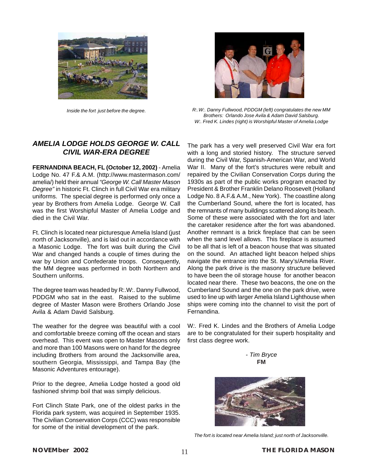



*Inside the fort just before the degree. R:.W:. Danny Fullwood, PDDGM (left) congratulates the new MM Brothers: Orlando Jose Avila & Adam David Salsburg. W:. Fred K. Lindes (right) is Worshipful Master of Amelia Lodge*

#### *AMELIA LODGE HOLDS GEORGE W. CALL CIVIL WAR-ERA DEGREE*

**FERNANDINA BEACH, FL (October 12, 2002)** - Amelia Lodge No. 47 F.& A.M. (http://www.mastermason.com/ amelia/) held their annual *"George W. Call Master Mason Degree"* in historic Ft. Clinch in full Civil War era military uniforms. The special degree is performed only once a year by Brothers from Amelia Lodge. George W. Call was the first Worshipful Master of Amelia Lodge and died in the Civil War.

Ft. Clinch is located near picturesque Amelia Island (just north of Jacksonville), and is laid out in accordance with a Masonic Lodge. The fort was built during the Civil War and changed hands a couple of times during the war by Union and Confederate troops. Consequently, the MM degree was performed in both Northern and Southern uniforms.

The degree team was headed by R:.W:. Danny Fullwood, PDDGM who sat in the east. Raised to the sublime degree of Master Mason were Brothers Orlando Jose Avila & Adam David Salsburg.

The weather for the degree was beautiful with a cool and comfortable breeze coming off the ocean and stars overhead. This event was open to Master Masons only and more than 100 Masons were on hand for the degree including Brothers from around the Jacksonville area, southern Georgia, Mississippi, and Tampa Bay (the Masonic Adventures entourage).

Prior to the degree, Amelia Lodge hosted a good old fashioned shrimp boil that was simply delicious.

Fort Clinch State Park, one of the oldest parks in the Florida park system, was acquired in September 1935. The Civilian Conservation Corps (CCC) was responsible for some of the initial development of the park.

The park has a very well preserved Civil War era fort with a long and storied history. The structure served during the Civil War, Spanish-American War, and World War II. Many of the fort's structures were rebuilt and repaired by the Civilian Conservation Corps during the 1930s as part of the public works program enacted by President & Brother Franklin Delano Roosevelt (Holland Lodge No. 8 A.F.& A.M., New York). The coastline along the Cumberland Sound, where the fort is located, has the remnants of many buildings scattered along its beach. Some of these were associated with the fort and later the caretaker residence after the fort was abandoned. Another remnant is a brick fireplace that can be seen when the sand level allows. This fireplace is assumed to be all that is left of a beacon house that was situated on the sound. An attached light beacon helped ships navigate the entrance into the St. Mary's/Amelia River. Along the park drive is the masonry structure believed to have been the oil storage house for another beacon located near there. These two beacons, the one on the Cumberland Sound and the one on the park drive, were used to line up with larger Amelia Island Lighthouse when ships were coming into the channel to visit the port of Fernandina.

W*:.* Fred K. Lindes and the Brothers of Amelia Lodge are to be congratulated for their superb hospitality and first class degree work.





*The fort is located near Amelia Island; just north of Jacksonville.*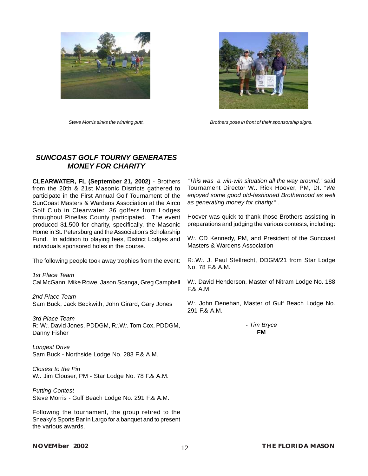



*Steve Morris sinks the winning putt. Brothers pose in front of their sponsorship signs.*

#### *SUNCOAST GOLF TOURNY GENERATES MONEY FOR CHARITY*

**CLEARWATER, FL (September 21, 2002)** - Brothers from the 20th & 21st Masonic Districts gathered to participate in the First Annual Golf Tournament of the SunCoast Masters & Wardens Association at the Airco Golf Club in Clearwater. 36 golfers from Lodges throughout Pinellas County participated. The event produced \$1,500 for charity, specifically, the Masonic Home in St. Petersburg and the Association's Scholarship Fund. In addition to playing fees, District Lodges and individuals sponsored holes in the course.

The following people took away trophies from the event:

*1st Place Team* Cal McGann, Mike Rowe, Jason Scanga, Greg Campbell

*2nd Place Team* Sam Buck, Jack Beckwith, John Girard, Gary Jones

*3rd Place Team* R*:.*W*:.* David Jones, PDDGM, R*:.*W*:.* Tom Cox, PDDGM, Danny Fisher

*Longest Drive* Sam Buck - Northside Lodge No. 283 F.& A.M.

*Closest to the Pin* W*:.* Jim Clouser, PM - Star Lodge No. 78 F.& A.M.

*Putting Contest* Steve Morris - Gulf Beach Lodge No. 291 F.& A.M.

Following the tournament, the group retired to the Sneaky's Sports Bar in Largo for a banquet and to present the various awards.

*"This was a win-win situation all the way around,"* said Tournament Director W*:.* Rick Hoover, PM, DI. *"We enjoyed some good old-fashioned Brotherhood as well as generating money for charity." .*

Hoover was quick to thank those Brothers assisting in preparations and judging the various contests, including:

W.: CD Kennedy, PM, and President of the Suncoast Masters & Wardens Association

R*:.*W*:.* J. Paul Stellrecht, DDGM/21 from Star Lodge No. 78 F.& A.M.

W*:.* David Henderson, Master of Nitram Lodge No. 188 F.& A.M.

W*:.* John Denehan, Master of Gulf Beach Lodge No. 291 F.& A.M.

> *- Tim Bryce* **FM**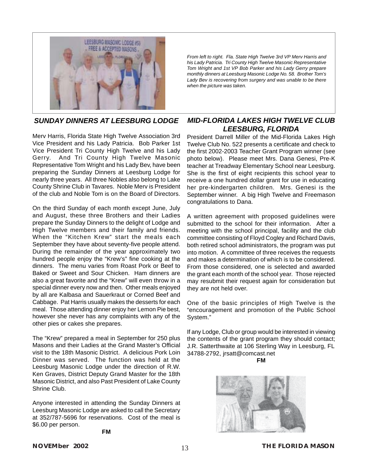

*SUNDAY DINNERS AT LEESBURG LODGE*

Merv Harris, Florida State High Twelve Association 3rd Vice President and his Lady Patricia. Bob Parker 1st Vice President Tri County High Twelve and his Lady Gerry. And Tri County High Twelve Masonic Representative Tom Wright and his Lady Bev, have been preparing the Sunday Dinners at Leesburg Lodge for nearly three years. All three Nobles also belong to Lake County Shrine Club in Tavares. Noble Merv is President of the club and Noble Tom is on the Board of Directors.

On the third Sunday of each month except June, July and August, these three Brothers and their Ladies prepare the Sunday Dinners to the delight of Lodge and High Twelve members and their family and friends. When the "Kitchen Krew" start the meals each September they have about seventy-five people attend. During the remainder of the year approximately two hundred people enjoy the "Krew's" fine cooking at the dinners. The menu varies from Roast Pork or Beef to Baked or Sweet and Sour Chicken. Ham dinners are also a great favorite and the "Krew" will even throw in a special dinner every now and then. Other meals enjoyed by all are Kalbasa and Sauerkraut or Corned Beef and Cabbage. Pat Harris usually makes the desserts for each meal. Those attending dinner enjoy her Lemon Pie best, however she never has any complaints with any of the other pies or cakes she prepares.

The "Krew" prepared a meal in September for 250 plus Masons and their Ladies at the Grand Master's Official visit to the 18th Masonic District. A delicious Pork Loin Dinner was served. The function was held at the Leesburg Masonic Lodge under the direction of R.W. Ken Graves, District Deputy Grand Master for the 18th Masonic District, and also Past President of Lake County Shrine Club.

Anyone interested in attending the Sunday Dinners at Leesburg Masonic Lodge are asked to call the Secretary at 352/787-5696 for reservations. Cost of the meal is \$6.00 per person.

**FM**

*From left to right. Fla. State High Twelve 3rd VP Merv Harris and his Lady Patricia. Tri County High Twelve Masonic Representative Tom Wright and 1st VP Bob Parker and his Lady Gerry prepare monthly dinners at Leesburg Masonic Lodge No. 58. Brother Tom's Lady Bev is recovering from surgery and was unable to be there when the picture was taken.*

#### *MID-FLORIDA LAKES HIGH TWELVE CLUB LEESBURG, FLORIDA*

President Darrell Miller of the Mid-Florida Lakes High Twelve Club No. 522 presents a certificate and check to the first 2002-2003 Teacher Grant Program winner (see photo below). Please meet Mrs. Dana Genesi, Pre-K teacher at Treadway Elementary School near Leesburg. She is the first of eight recipients this school year to receive a one hundred dollar grant for use in educating her pre-kindergarten children. Mrs. Genesi is the September winner. A big High Twelve and Freemason congratulations to Dana.

A written agreement with proposed guidelines were submitted to the school for their information. After a meeting with the school principal, facility and the club committee consisting of Floyd Cogley and Richard Davis, both retired school administrators, the program was put into motion. A committee of three receives the requests and makes a determination of which is to be considered. From those considered, one is selected and awarded the grant each month of the school year. Those rejected may resubmit their request again for consideration but they are not held over.

One of the basic principles of High Twelve is the "encouragement and promotion of the Public School System."

If any Lodge, Club or group would be interested in viewing the contents of the grant program they should contact; J.R. Satterthwaite at 106 Sterling Way in Leesburg, FL 34788-2792, jrsatt@comcast.net



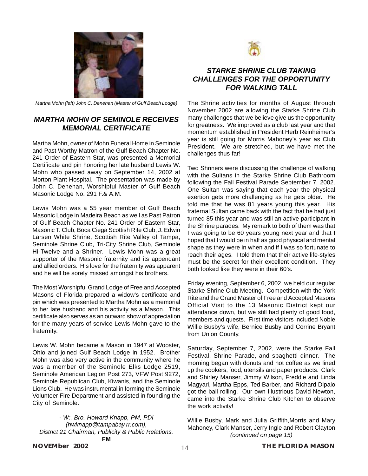

*Martha Mohn (left) John C. Denehan (Master of Gulf Beach Lodge)*

#### *MARTHA MOHN OF SEMINOLE RECEIVES MEMORIAL CERTIFICATE*

Martha Mohn, owner of Mohn Funeral Home in Seminole and Past Worthy Matron of the Gulf Beach Chapter No. 241 Order of Eastern Star, was presented a Memorial Certificate and pin honoring her late husband Lewis W. Mohn who passed away on September 14, 2002 at Morton Plant Hospital. The presentation was made by John C. Denehan, Worshipful Master of Gulf Beach Masonic Lodge No. 291 F.& A.M.

Lewis Mohn was a 55 year member of Gulf Beach Masonic Lodge in Madeira Beach as well as Past Patron of Gulf Beach Chapter No. 241 Order of Eastern Star, Masonic T. Club, Boca Ciega Scottish Rite Club, J. Edwin Larsen White Shrine, Scottish Rite Valley of Tampa, Seminole Shrine Club, Tri-City Shrine Club, Seminole Hi-Twelve and a Shriner. Lewis Mohn was a great supporter of the Masonic fraternity and its appendant and allied orders. His love for the fraternity was apparent and he will be sorely missed amongst his brothers.

The Most Worshipful Grand Lodge of Free and Accepted Masons of Florida prepared a widow's certificate and pin which was presented to Martha Mohn as a memorial to her late husband and his activity as a Mason. This certificate also serves as an outward show of appreciation for the many years of service Lewis Mohn gave to the fraternity.

Lewis W. Mohn became a Mason in 1947 at Wooster, Ohio and joined Gulf Beach Lodge in 1952. Brother Mohn was also very active in the community where he was a member of the Seminole Elks Lodge 2519, Seminole American Legion Post 273, VFW Post 9272, Seminole Republican Club, Kiwanis, and the Seminole Lions Club. He was instrumental in forming the Seminole Volunteer Fire Department and assisted in founding the City of Seminole.

*- W:. Bro. Howard Knapp, PM, PDI (hwknapp@tampabay.rr.com), District 21 Chairman, Publicity & Public Relations.* **FM**



#### *STARKE SHRINE CLUB TAKING CHALLENGES FOR THE OPPORTUNITY FOR WALKING TALL*

The Shrine activities for months of August through November 2002 are allowing the Starke Shrine Club many challenges that we believe give us the opportunity for greatness. We improved as a club last year and that momentum established in President Herb Reinheimer's year is still going for Morris Mahoney's year as Club President. We are stretched, but we have met the challenges thus far!

Two Shriners were discussing the challenge of walking with the Sultans in the Starke Shrine Club Bathroom following the Fall Festival Parade September 7, 2002. One Sultan was saying that each year the physical exertion gets more challenging as he gets older. He told me that he was 81 years young this year. His fraternal Sultan came back with the fact that he had just turned 85 this year and was still an active participant in the Shrine parades. My remark to both of them was that I was going to be 60 years young next year and that I hoped that I would be in half as good physical and mental shape as they were in when and if I was so fortunate to reach their ages. I told them that their active life-styles must be the secret for their excellent condition. They both looked like they were in their 60's.

Friday evening, September 6, 2002, we held our regular Starke Shrine Club Meeting. Competition with the York Rite and the Grand Master of Free and Accepted Masons Official Visit to the 13 Masonic District kept our attendance down, but we still had plenty of good food, members and quests. First time visitors included Noble Willie Busby's wife, Bernice Busby and Corrine Bryant from Union County.

Saturday, September 7, 2002, were the Starke Fall Festival, Shrine Parade, and spaghetti dinner. The morning began with donuts and hot coffee as we lined up the cookers, food, utensils and paper products. Clark and Shirley Manser, Jimmy Wilson, Freddie and Linda Magyari, Martha Epps, Ted Barber, and Richard Dipalo got the ball rolling. Our own Illustrious David Newton, came into the Starke Shrine Club Kitchen to observe the work activity!

Willie Busby, Mark and Julia Griffith,Morris and Mary Mahoney, Clark Manser, Jerry Ingle and Robert Clayton *(continued on page 15)*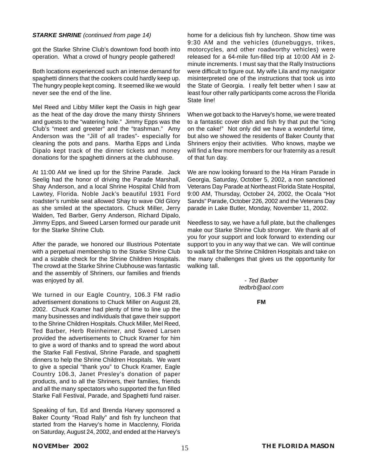#### *STARKE SHRINE (continued from page 14)*

got the Starke Shrine Club's downtown food booth into operation. What a crowd of hungry people gathered!

Both locations experienced such an intense demand for spaghetti dinners that the cookers could hardly keep up. The hungry people kept coming. It seemed like we would never see the end of the line.

Mel Reed and Libby Miller kept the Oasis in high gear as the heat of the day drove the many thirsty Shriners and guests to the "watering hole." Jimmy Epps was the Club's "meet and greeter" and the "trashman." Amy Anderson was the "Jill of all trades"- especially for cleaning the pots and pans. Martha Epps and Linda Dipalo kept track of the dinner tickets and money donations for the spaghetti dinners at the clubhouse.

At 11:00 AM we lined up for the Shrine Parade. Jack Seelig had the honor of driving the Parade Marshall, Shay Anderson, and a local Shrine Hospital Child from Lawtey, Florida. Noble Jack's beautiful 1931 Ford roadster's rumble seat allowed Shay to wave Old Glory as she smiled at the spectators. Chuck Miller, Jerry Walden, Ted Barber, Gerry Anderson, Richard Dipalo, Jimmy Epps, and Sweed Larsen formed our parade unit for the Starke Shrine Club.

After the parade, we honored our Illustrious Potentate with a perpetual membership to the Starke Shrine Club and a sizable check for the Shrine Children Hospitals. The crowd at the Starke Shrine Clubhouse was fantastic and the assembly of Shriners, our families and friends was enjoyed by all.

We turned in our Eagle Country, 106.3 FM radio advertisement donations to Chuck Miller on August 28, 2002. Chuck Kramer had plenty of time to line up the many businesses and individuals that gave their support to the Shrine Children Hospitals. Chuck Miller, Mel Reed, Ted Barber, Herb Reinheimer, and Sweed Larsen provided the advertisements to Chuck Kramer for him to give a word of thanks and to spread the word about the Starke Fall Festival, Shrine Parade, and spaghetti dinners to help the Shrine Children Hospitals. We want to give a special "thank you" to Chuck Kramer, Eagle Country 106.3, Janet Presley's donation of paper products, and to all the Shriners, their families, friends and all the many spectators who supported the fun filled Starke Fall Festival, Parade, and Spaghetti fund raiser.

Speaking of fun, Ed and Brenda Harvey sponsored a Baker County "Road Rally" and fish fry luncheon that started from the Harvey's home in Macclenny, Florida on Saturday, August 24, 2002, and ended at the Harvey's

home for a delicious fish fry luncheon. Show time was 9:30 AM and the vehicles (dunebuggys, trikes, motorcycles, and other roadworthy vehicles) were released for a 64-mile fun-filled trip at 10:00 AM in 2 minute increments. I must say that the Rally Instructions were difficult to figure out. My wife Lila and my navigator misinterpreted one of the instructions that took us into the State of Georgia. I really felt better when I saw at least four other rally participants come across the Florida State line!

When we got back to the Harvey's home, we were treated to a fantastic cover dish and fish fry that put the "icing on the cake!" Not only did we have a wonderful time, but also we showed the residents of Baker County that Shriners enjoy their activities. Who knows, maybe we will find a few more members for our fraternity as a result of that fun day.

We are now looking forward to the Ha Hiram Parade in Georgia, Saturday, October 5, 2002, a non sanctioned Veterans Day Parade at Northeast Florida State Hospital, 9:00 AM, Thursday, October 24, 2002, the Ocala "Hot Sands" Parade, October 226, 2002 and the Veterans Day parade in Lake Butler, Monday, November 11, 2002.

Needless to say, we have a full plate, but the challenges make our Starke Shrine Club stronger. We thank all of you for your support and look forward to extending our support to you in any way that we can. We will continue to walk tall for the Shrine Children Hospitals and take on the many challenges that gives us the opportunity for walking tall.

> *- Ted Barber tedbrb@aol.com*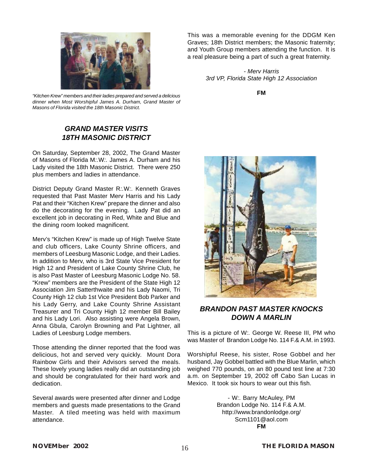

*"Kitchen Krew" members and their ladies prepared and served a delicious dinner when Most Worshipful James A. Durham, Grand Master of Masons of Florida visited the 18th Masonic District.*

### *GRAND MASTER VISITS 18TH MASONIC DISTRICT*

On Saturday, September 28, 2002, The Grand Master of Masons of Florida M*:.*W*:.* James A. Durham and his Lady visited the 18th Masonic District. There were 250 plus members and ladies in attendance.

District Deputy Grand Master R*:.*W*:.* Kenneth Graves requested that Past Master Merv Harris and his Lady Pat and their "Kitchen Krew" prepare the dinner and also do the decorating for the evening. Lady Pat did an excellent job in decorating in Red, White and Blue and the dining room looked magnificent.

Merv's "Kitchen Krew" is made up of High Twelve State and club officers, Lake County Shrine officers, and members of Leesburg Masonic Lodge, and their Ladies. In addition to Merv, who is 3rd State Vice President for High 12 and President of Lake County Shrine Club, he is also Past Master of Leesburg Masonic Lodge No. 58. "Krew" members are the President of the State High 12 Association Jim Satterthwaite and his Lady Naomi, Tri County High 12 club 1st Vice President Bob Parker and his Lady Gerry, and Lake County Shrine Assistant Treasurer and Tri County High 12 member Bill Bailey and his Lady Lori. Also assisting were Angela Brown, Anna Gbula, Carolyn Browning and Pat Lightner, all Ladies of Leesburg Lodge members.

Those attending the dinner reported that the food was delicious, hot and served very quickly. Mount Dora Rainbow Girls and their Advisors served the meals. These lovely young ladies really did an outstanding job and should be congratulated for their hard work and dedication.

Several awards were presented after dinner and Lodge members and guests made presentations to the Grand Master. A tiled meeting was held with maximum attendance.

This was a memorable evening for the DDGM Ken Graves; 18th District members; the Masonic fraternity; and Youth Group members attending the function. It is a real pleasure being a part of such a great fraternity.

> *- Merv Harris 3rd VP, Florida State High 12 Association*

> > **FM**



#### *BRANDON PAST MASTER KNOCKS DOWN A MARLIN*

This is a picture of W*:.* George W. Reese III, PM who was Master of Brandon Lodge No. 114 F.& A.M. in 1993.

Worshipful Reese, his sister, Rose Gobbel and her husband, Jay Gobbel battled with the Blue Marlin, which weighed 770 pounds, on an 80 pound test line at 7:30 a.m. on September 19, 2002 off Cabo San Lucas in Mexico. It took six hours to wear out this fish.

> - W*:.* Barry McAuley, PM Brandon Lodge No. 114 F.& A.M. http://www.brandonlodge.org/ Scm1101@aol.com **FM**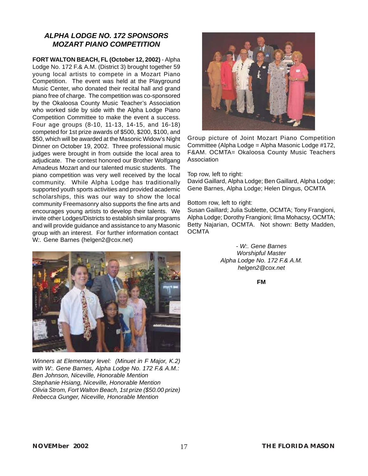#### *ALPHA LODGE NO. 172 SPONSORS MOZART PIANO COMPETITION*

**FORT WALTON BEACH, FL (October 12, 2002)** - Alpha Lodge No. 172 F.& A.M. (District 3) brought together 59 young local artists to compete in a Mozart Piano Competition. The event was held at the Playground Music Center, who donated their recital hall and grand piano free of charge. The competition was co-sponsored by the Okaloosa County Music Teacher's Association who worked side by side with the Alpha Lodge Piano Competition Committee to make the event a success. Four age groups (8-10, 11-13, 14-15, and 16-18) competed for 1st prize awards of \$500, \$200, \$100, and \$50, which will be awarded at the Masonic Widow's Night Dinner on October 19, 2002. Three professional music judges were brought in from outside the local area to adjudicate. The contest honored our Brother Wolfgang Amadeus Mozart and our talented music students. The piano competition was very well received by the local community. While Alpha Lodge has traditionally supported youth sports activities and provided academic scholarships, this was our way to show the local community Freemasonry also supports the fine arts and encourages young artists to develop their talents. We invite other Lodges/Districts to establish similar programs and will provide guidance and assistance to any Masonic group with an interest. For further information contact W*:.* Gene Barnes (helgen2@cox.net)



*Winners at Elementary level: (Minuet in F Major, K.2) with W:. Gene Barnes, Alpha Lodge No. 172 F.& A.M.: Ben Johnson, Niceville, Honorable Mention Stephanie Hsiang, Niceville, Honorable Mention Olivia Strom, Fort Walton Beach, 1st prize (\$50.00 prize) Rebecca Gunger, Niceville, Honorable Mention*



Group picture of Joint Mozart Piano Competition Committee (Alpha Lodge = Alpha Masonic Lodge #172, F&AM. OCMTA= Okaloosa County Music Teachers Association

#### Top row, left to right:

David Gaillard, Alpha Lodge; Ben Gaillard, Alpha Lodge; Gene Barnes, Alpha Lodge; Helen Dingus, OCMTA

#### Bottom row, left to right:

Susan Gaillard; Julia Sublette, OCMTA; Tony Frangioni, Alpha Lodge; Dorothy Frangioni; Ilma Mohacsy, OCMTA; Betty Najarian, OCMTA. Not shown: Betty Madden, **OCMTA** 

> *- W:. Gene Barnes Worshipful Master Alpha Lodge No. 172 F.& A.M. helgen2@cox.net*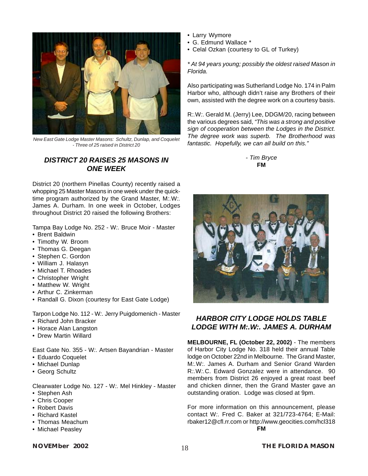

*New East Gate Lodge Master Masons: Schultz, Dunlap, and Coquelet - Three of 25 raised in District 20*

#### *DISTRICT 20 RAISES 25 MASONS IN ONE WEEK*

District 20 (northern Pinellas County) recently raised a whopping 25 Master Masons in one week under the quicktime program authorized by the Grand Master, M*:.*W*:.* James A. Durham. In one week in October, Lodges throughout District 20 raised the following Brothers:

Tampa Bay Lodge No. 252 - W*:.* Bruce Moir - Master

- Brent Baldwin
- Timothy W. Broom
- Thomas G. Deegan
- Stephen C. Gordon
- William J. Halasyn
- Michael T. Rhoades
- Christopher Wright
- Matthew W. Wright
- Arthur C. Zinkerman
- Randall G. Dixon (courtesy for East Gate Lodge)

Tarpon Lodge No. 112 - W*:.* Jerry Puigdomenich - Master

- Richard John Bracker
- Horace Alan Langston
- Drew Martin Willard

East Gate No. 355 - W*:.* Artsen Bayandrian - Master

- Eduardo Coquelet
- Michael Dunlap
- Georg Schultz

Clearwater Lodge No. 127 - W*:.* Mel Hinkley - Master

- Stephen Ash
- Chris Cooper
- Robert Davis
- Richard Kastel
- Thomas Meachum
- Michael Peasley
- Larry Wymore
- G. Edmund Wallace \*
- Celal Ozkan (courtesy to GL of Turkey)

*\* At 94 years young; possibly the oldest raised Mason in Florida.*

Also participating was Sutherland Lodge No. 174 in Palm Harbor who, although didn't raise any Brothers of their own, assisted with the degree work on a courtesy basis.

R*:.*W*:.* Gerald M. (Jerry) Lee, DDGM/20, racing between the various degrees said, *"This was a strong and positive sign of cooperation between the Lodges in the District. The degree work was superb. The Brotherhood was fantastic. Hopefully, we can all build on this."*

#### *- Tim Bryce* **FM**



#### *HARBOR CITY LODGE HOLDS TABLE LODGE WITH M:.W:. JAMES A. DURHAM*

**MELBOURNE, FL (October 22, 2002)** - The members of Harbor City Lodge No. 318 held their annual Table lodge on October 22nd in Melbourne. The Grand Master, M*:.*W*:.* James A. Durham and Senior Grand Warden R*:.*W*:.*C. Edward Gonzalez were in attendance. 90 members from District 26 enjoyed a great roast beef and chicken dinner, then the Grand Master gave an outstanding oration. Lodge was closed at 9pm.

For more information on this announcement, please contact W*:.* Fred C. Baker at 321/723-4764; E-Mail: rbaker12@cfl.rr.com or http://www.geocities.com/hcl318 **FM**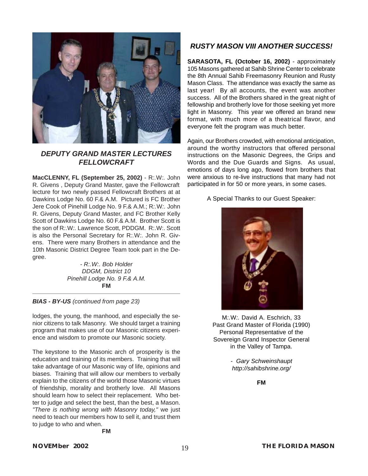

#### *DEPUTY GRAND MASTER LECTURES FELLOWCRAFT*

**MacCLENNY, FL (September 25, 2002)** - R*:.*W*:.* John R. Givens , Deputy Grand Master, gave the Fellowcraft lecture for two newly passed Fellowcraft Brothers at at Dawkins Lodge No. 60 F.& A.M. Pictured is FC Brother Jere Cook of Pinehill Lodge No. 9 F.& A.M.; R*:.*W*:.* John R. Givens, Deputy Grand Master, and FC Brother Kelly Scott of Dawkins Lodge No. 60 F.& A.M. Brother Scott is the son of R*:.*W*:.* Lawrence Scott, PDDGM. R:.W:. Scott is also the Personal Secretary for R*:.*W*:.* John R. Givens. There were many Brothers in attendance and the 10th Masonic District Degree Team took part in the Degree.

> *- R:.W:. Bob Holder DDGM, District 10 Pinehill Lodge No. 9 F.& A.M.* **FM**

*BIAS - BY-US (continued from page 23)*

lodges, the young, the manhood, and especially the senior citizens to talk Masonry. We should target a training program that makes use of our Masonic citizens experience and wisdom to promote our Masonic society.

The keystone to the Masonic arch of prosperity is the education and training of its members. Training that will take advantage of our Masonic way of life, opinions and biases. Training that will allow our members to verbally explain to the citizens of the world those Masonic virtues of friendship, morality and brotherly love. All Masons should learn how to select their replacement. Who better to judge and select the best, than the best, a Mason. *"There is nothing wrong with Masonry today,"* we just need to teach our members how to sell it, and trust them to judge to who and when.

**FM**

#### *RUSTY MASON VIII ANOTHER SUCCESS!*

**SARASOTA, FL (October 16, 2002)** - approximately 105 Masons gathered at Sahib Shrine Center to celebrate the 8th Annual Sahib Freemasonry Reunion and Rusty Mason Class. The attendance was exactly the same as last year! By all accounts, the event was another success. All of the Brothers shared in the great night of fellowship and brotherly love for those seeking yet more light in Masonry. This year we offered an brand new format, with much more of a theatrical flavor, and everyone felt the program was much better.

Again, our Brothers crowded, with emotional anticipation, around the worthy instructors that offered personal instructions on the Masonic Degrees, the Grips and Words and the Due Guards and Signs. As usual, emotions of days long ago, flowed from brothers that were anxious to re-live instructions that many had not participated in for 50 or more years, in some cases.

A Special Thanks to our Guest Speaker:



M*:.*W*:.* David A. Eschrich, 33 Past Grand Master of Florida (1990) Personal Representative of the Sovereign Grand Inspector General in the Valley of Tampa.

> *- Gary Schweinshaupt http://sahibshrine.org/*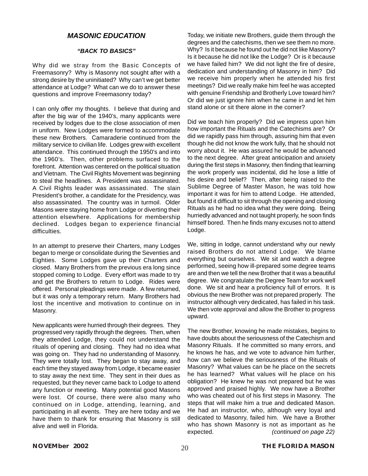#### *MASONIC EDUCATION*

#### *"BACK TO BASICS"*

Why did we stray from the Basic Concepts of Freemasonry? Why is Masonry not sought after with a strong desire by the uninitiated? Why can't we get better attendance at Lodge? What can we do to answer these questions and improve Freemasonry today?

I can only offer my thoughts. I believe that during and after the big war of the 1940's, many applicants were received by lodges due to the close association of men in uniform. New Lodges were formed to accommodate these new Brothers. Camaraderie continued from the military service to civilian life. Lodges grew with excellent attendance. This continued through the 1950's and into the 1960's. Then, other problems surfaced to the forefront. Attention was centered on the political situation and Vietnam. The Civil Rights Movement was beginning to steal the headlines. A President was assassinated. A Civil Rights leader was assassinated. The slain President's brother, a candidate for the Presidency, was also assassinated. The country was in turmoil. Older Masons were staying home from Lodge or diverting their attention elsewhere. Applications for membership declined. Lodges began to experience financial difficulties.

In an attempt to preserve their Charters, many Lodges began to merge or consolidate during the Seventies and Eighties. Some Lodges gave up their Charters and closed. Many Brothers from the previous era long since stopped coming to Lodge. Every effort was made to try and get the Brothers to return to Lodge. Rides were offered. Personal pleadings were made. A few returned, but it was only a temporary return. Many Brothers had lost the incentive and motivation to continue on in Masonry.

New applicants were hurried through their degrees. They progressed very rapidly through the degrees. Then, when they attended Lodge, they could not understand the rituals of opening and closing. They had no idea what was going on. They had no understanding of Masonry. They were totally lost. They began to stay away, and each time they stayed away from Lodge, it became easier to stay away the next time. They sent in their dues as requested, but they never came back to Lodge to attend any function or meeting. Many potential good Masons were lost. Of course, there were also many who continued on in Lodge, attending, learning, and participating in all events. They are here today and we have them to thank for ensuring that Masonry is still alive and well in Florida.

Today, we initiate new Brothers, guide them through the degrees and the catechisms, then we see them no more. Why? Is it because he found out he did not like Masonry? Is it because he did not like the Lodge? Or is it because we have failed him? We did not light the fire of desire, dedication and understanding of Masonry in him? Did we receive him properly when he attended his first meetings? Did we really make him feel he was accepted with genuine Friendship and Brotherly Love toward him? Or did we just ignore him when he came in and let him stand alone or sit there alone in the corner?

Did we teach him properly? Did we impress upon him how important the Rituals and the Catechisms are? Or did we rapidly pass him through, assuring him that even though he did not know the work fully, that he should not worry about it. He was assured he would be advanced to the next degree. After great anticipation and anxiety during the first steps in Masonry, then finding that learning the work properly was incidental, did he lose a little of his desire and belief? Then, after being raised to the Sublime Degree of Master Mason, he was told how important it was for him to attend Lodge. He attended, but found it difficult to sit through the opening and closing Rituals as he had no idea what they were doing. Being hurriedly advanced and not taught properly, he soon finds himself bored. Then he finds many excuses not to attend Lodge.

We, sitting in lodge, cannot understand why our newly raised Brothers do not attend Lodge. We blame everything but ourselves. We sit and watch a degree performed, seeing how ill-prepared some degree teams are and then we tell the new Brother that it was a beautiful degree. We congratulate the Degree Team for work well done. We sit and hear a proficiency full of errors. It is obvious the new Brother was not prepared properly. The instructor although very dedicated, has failed in his task. We then vote approval and allow the Brother to progress upward.

The new Brother, knowing he made mistakes, begins to have doubts about the seriousness of the Catechism and Masonry Rituals. If he committed so many errors, and he knows he has, and we vote to advance him further, how can we believe the seriousness of the Rituals of Masonry? What values can be he place on the secrets he has learned? What values will he place on his obligation? He knew he was not prepared but he was approved and praised highly. We now have a Brother who was cheated out of his first steps in Masonry. The steps that will make him a true and dedicated Mason. He had an instructor, who, although very loyal and dedicated to Masonry, failed him. We have a Brother who has shown Masonry is not as important as he expected. *(continued on page 22)*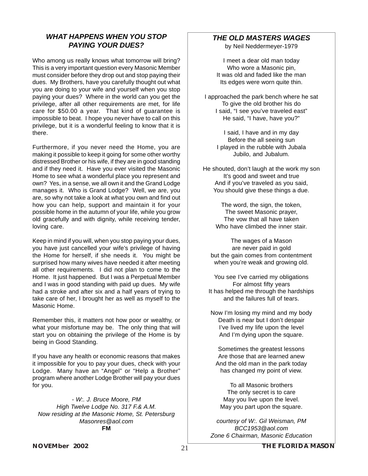#### *WHAT HAPPENS WHEN YOU STOP PAYING YOUR DUES?*

Who among us really knows what tomorrow will bring? This is a very important question every Masonic Member must consider before they drop out and stop paying their dues. My Brothers, have you carefully thought out what you are doing to your wife and yourself when you stop paying your dues? Where in the world can you get the privilege, after all other requirements are met, for life care for \$50.00 a year. That kind of guarantee is impossible to beat. I hope you never have to call on this privilege, but it is a wonderful feeling to know that it is there.

Furthermore, if you never need the Home, you are making it possible to keep it going for some other worthy distressed Brother or his wife, if they are in good standing and if they need it. Have you ever visited the Masonic Home to see what a wonderful place you represent and own? Yes, in a sense, we all own it and the Grand Lodge manages it. Who is Grand Lodge? Well, we are, you are, so why not take a look at what you own and find out how you can help, support and maintain it for your possible home in the autumn of your life, while you grow old gracefully and with dignity, while receiving tender, loving care.

Keep in mind if you will, when you stop paying your dues, you have just cancelled your wife's privilege of having the Home for herself, if she needs it. You might be surprised how many wives have needed it after meeting all other requirements. I did not plan to come to the Home. It just happened. But I was a Perpetual Member and I was in good standing with paid up dues. My wife had a stroke and after six and a half years of trying to take care of her, I brought her as well as myself to the Masonic Home.

Remember this, it matters not how poor or wealthy, or what your misfortune may be. The only thing that will start you on obtaining the privilege of the Home is by being in Good Standing.

If you have any health or economic reasons that makes it impossible for you to pay your dues, check with your Lodge. Many have an "Angel" or "Help a Brother" program where another Lodge Brother will pay your dues for you.

*- W:. J. Bruce Moore, PM High Twelve Lodge No. 317 F.& A.M. Now residing at the Masonic Home, St. Petersburg Masonres@aol.com* **FM**

#### *THE OLD MASTERS WAGES*

by Neil Neddermeyer-1979

I meet a dear old man today Who wore a Masonic pin. It was old and faded like the man Its edges were worn quite thin.

I approached the park bench where he sat To give the old brother his do I said, "I see you've traveled east" He said, "I have, have you?"

> I said, I have and in my day Before the all seeing sun I played in the rubble with Jubala Jubilo, and Jubalum.

He shouted, don't laugh at the work my son It's good and sweet and true And if you've traveled as you said, You should give these things a due.

> The word, the sign, the token, The sweet Masonic prayer, The vow that all have taken Who have climbed the inner stair.

The wages of a Mason are never paid in gold but the gain comes from contentment when you're weak and growing old.

You see I've carried my obligations For almost fifty years It has helped me through the hardships and the failures full of tears.

Now I'm losing my mind and my body Death is near but I don't despair I've lived my life upon the level And I'm dying upon the square.

Sometimes the greatest lessons Are those that are learned anew And the old man in the park today has changed my point of view.

To all Masonic brothers The only secret is to care May you live upon the level. May you part upon the square.

*courtesy of W:. Gil Weisman, PM BCC1953@aol.com Zone 6 Chairman, Masonic Education*

**NOVEMBER 2002** 21 **THE FLORIDA MASON**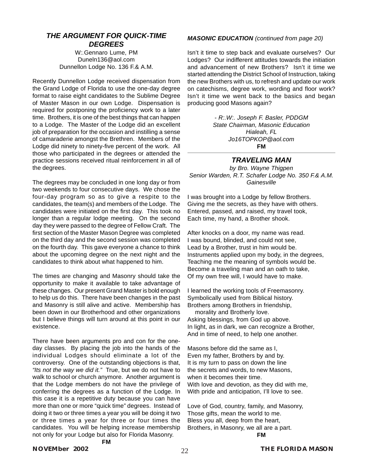#### *THE ARGUMENT FOR QUICK-TIME DEGREES*

W*:.*Gennaro Lume, PM Duneln136@aol.com Dunnellon Lodge No. 136 F.& A.M.

Recently Dunnellon Lodge received dispensation from the Grand Lodge of Florida to use the one-day degree format to raise eight candidates to the Sublime Degree of Master Mason in our own Lodge. Dispensation is required for postponing the proficiency work to a later time. Brothers, it is one of the best things that can happen to a Lodge. The Master of the Lodge did an excellent job of preparation for the occasion and instilling a sense of camaraderie amongst the Brethren. Members of the Lodge did ninety to ninety-five percent of the work. All those who participated in the degrees or attended the practice sessions received ritual reinforcement in all of the degrees.

The degrees may be concluded in one long day or from two weekends to four consecutive days. We chose the four-day program so as to give a respite to the candidates, the team(s) and members of the Lodge. The candidates were initiated on the first day. This took no longer than a regular lodge meeting. On the second day they were passed to the degree of Fellow Craft. The first section of the Master Mason Degree was completed on the third day and the second session was completed on the fourth day. This gave everyone a chance to think about the upcoming degree on the next night and the candidates to think about what happened to him.

The times are changing and Masonry should take the opportunity to make it available to take advantage of these changes. Our present Grand Master is bold enough to help us do this. There have been changes in the past and Masonry is still alive and active. Membership has been down in our Brotherhood and other organizations but I believe things will turn around at this point in our existence.

There have been arguments pro and con for the oneday classes. By placing the job into the hands of the individual Lodges should eliminate a lot of the controversy. One of the outstanding objections is that, *"Its not the way we did it."* True, but we do not have to walk to school or church anymore. Another argument is that the Lodge members do not have the privilege of conferring the degrees as a function of the Lodge. In this case it is a repetitive duty because you can have more than one or more "quick time" degrees. Instead of doing it two or three times a year you will be doing it two or three times a year for three or four times the candidates. You will be helping increase membership not only for your Lodge but also for Florida Masonry. **FM**

#### *MASONIC EDUCATION (continued from page 20)*

Isn't it time to step back and evaluate ourselves? Our Lodges? Our indifferent attitudes towards the initiation and advancement of new Brothers? Isn't it time we started attending the District School of Instruction, taking the new Brothers with us, to refresh and update our work on catechisms, degree work, wording and floor work? Isn't it time we went back to the basics and began producing good Masons again?

> *- R:.W:. Joseph F. Basler, PDDGM State Chairman, Masonic Education Hialeah, FL Jo16TOPKOP@aol.com* **FM**

#### *TRAVELING MAN*

*by Bro. Wayne Thigpen Senior Warden, R.T. Schafer Lodge No. 350 F.& A.M. Gainesville*

I was brought into a Lodge by fellow Brothers. Giving me the secrets, as they have with others. Entered, passed, and raised, my travel took, Each time, my hand, a Brother shook.

After knocks on a door, my name was read. I was bound, blinded, and could not see, Lead by a Brother, trust in him would be. Instruments applied upon my body, in the degrees, Teaching me the meaning of symbols would be. Become a traveling man and an oath to take, Of my own free will, I would have to make.

I learned the working tools of Freemasonry. Symbolically used from Biblical history. Brothers among Brothers in friendship,

 morality and Brotherly love. Asking blessings, from God up above. In light, as in dark, we can recognize a Brother, And in time of need, to help one another.

Masons before did the same as I, Even my father, Brothers by and by. It is my turn to pass on down the line the secrets and words, to new Masons, when it becomes their time. With love and devotion, as they did with me, With pride and anticipation, I'll love to see.

Love of God, country, family, and Masonry, Those gifts, mean the world to me. Bless you all, deep from the heart, Brothers, in Masonry, we all are a part.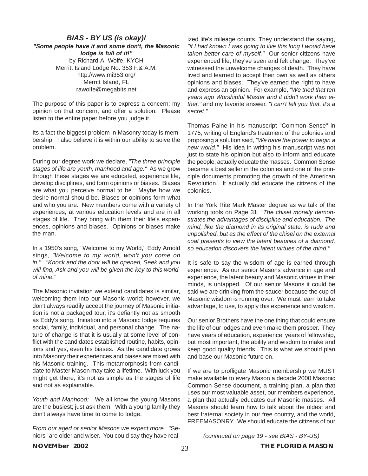#### *BIAS - BY US (is okay)! "Some people have it and some don't, the Masonic lodge is full of it!"* by Richard A. Wolfe, KYCH Merritt Island Lodge No. 353 F.& A.M. http://www.mi353.org/ Merritt Island, FL rawolfe@megabits.net

The purpose of this paper is to express a concern; my opinion on that concern, and offer a solution. Please listen to the entire paper before you judge it.

Its a fact the biggest problem in Masonry today is membership. I also believe it is within our ability to solve the problem.

During our degree work we declare, *"The three principle stages of life are youth, manhood and age."* As we grow through these stages we are educated, experience life, develop disciplines, and form opinions or biases. Biases are what you perceive normal to be. Maybe how we desire normal should be. Biases or opinions form what and who you are. New members come with a variety of experiences, at various education levels and are in all stages of life. They bring with them their life's experiences, opinions and biases. Opinions or biases make the man.

In a 1950's song, "Welcome to my World," Eddy Arnold sings, *"Welcome to my world, won't you come on in."..."Knock and the door will be opened, Seek and you will find, Ask and you will be given the key to this world of mine."*

The Masonic invitation we extend candidates is similar, welcoming them into our Masonic world; however, we don't always readily accept the journey of Masonic initiation is not a packaged tour, it's defiantly not as smooth as Eddy's song. Initiation into a Masonic lodge requires social, family, individual, and personal change. The nature of change is that it is usually at some level of conflict with the candidates established routine, habits, opinions and yes, even his biases. As the candidate grows into Masonry their experiences and biases are mixed with his Masonic training. This metamorphosis from candidate to Master Mason may take a lifetime. With luck you might get there, it's not as simple as the stages of life and not as explainable.

*Youth and Manhood:* We all know the young Masons are the busiest; just ask them. With a young family they don't always have time to come to lodge.

*From our aged or senior Masons we expect more.* "Seniors" are older and wiser. You could say they have realized life's mileage counts. They understand the saying, *"if I had known I was going to live this long I would have taken better care of myself."* Our senior citizens have experienced life; they've seen and felt change. They've witnessed the unwelcome changes of death. They have lived and learned to accept their own as well as others opinions and biases. They've earned the right to have and express an opinion. For example, *"We tried that ten years ago Worshipful Master and it didn't work then either,"* and my favorite answer, *"I can't tell you that, it's a secret."*

Thomas Paine in his manuscript "Common Sense" in 1775, writing of England's treatment of the colonies and proposing a solution said, *"We have the power to begin a new world."* His idea in writing his manuscript was not just to state his opinion but also to inform and educate the people, actually educate the masses. Common Sense became a best seller in the colonies and one of the principle documents promoting the growth of the American Revolution. It actually did educate the citizens of the colonies.

In the York Rite Mark Master degree as we talk of the working tools on Page 31; *"The chisel morally demonstrates the advantages of discipline and education. The mind, like the diamond in its original state, is rude and unpolished, but as the effect of the chisel on the external coat presents to view the latent beauties of a diamond, so education discovers the latent virtues of the mind."*

It is safe to say the wisdom of age is earned through experience. As our senior Masons advance in age and experience, the latent beauty and Masonic virtues in their minds, is untapped. Of our senior Masons it could be said we are drinking from the saucer because the cup of Masonic wisdom is running over. We must learn to take advantage, to use, to apply this experience and wisdom.

Our senior Brothers have the one thing that could ensure the life of our lodges and even make them prosper. They have years of education, experience, years of fellowship, but most important, the ability and wisdom to make and keep good quality friends. This is what we should plan and base our Masonic future on.

If we are to profligate Masonic membership we MUST make available to every Mason a decade 2000 Masonic Common Sense document, a training plan, a plan that uses our most valuable asset, our members experience, a plan that actually educates our Masonic masses. All Masons should learn how to talk about the oldest and best fraternal society in our free country, and the world, FREEMASONRY. We should educate the citizens of our

*(continued on page 19 - see BIAS - BY-US)*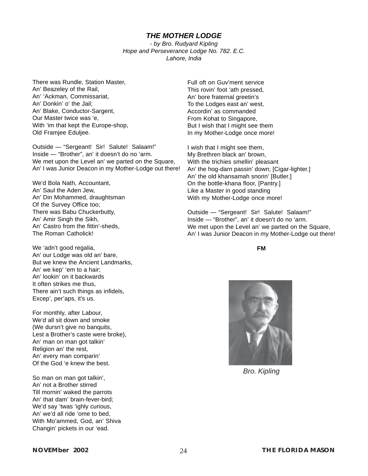#### *THE MOTHER LODGE*

*- by Bro. Rudyard Kipling Hope and Perseverance Lodge No. 782. E.C. Lahore, India*

There was Rundle, Station Master, An' Beazeley of the Rail, An' 'Ackman, Commissariat, An' Donkin' o' the Jail; An' Blake, Conductor-Sargent, Our Master twice was 'e, With 'im that kept the Europe-shop, Old Framjee Eduljee.

Outside — "Sergeant! Sir! Salute! Salaam!" Inside — "Brother", an' it doesn't do no 'arm. We met upon the Level an' we parted on the Square, An' I was Junior Deacon in my Mother-Lodge out there!

We'd Bola Nath, Accountant, An' Saul the Aden Jew, An' Din Mohammed, draughtsman Of the Survey Office too; There was Babu Chuckerbutty, An' Amir Singh the Sikh, An' Castro from the fittin'-sheds, The Roman Catholick!

We 'adn't good regalia, An' our Lodge was old an' bare, But we knew the Ancient Landmarks, An' we kep' 'em to a hair; An' lookin' on it backwards It often strikes me thus, There ain't such things as infidels, Excep', per'aps, it's us.

For monthly, after Labour, We'd all sit down and smoke (We dursn't give no banquits, Lest a Brother's caste were broke), An' man on man got talkin' Religion an' the rest, An' every man comparin' Of the God 'e knew the best.

So man on man got talkin', An' not a Brother stirred Till mornin' waked the parrots An' that dam' brain-fever-bird; We'd say 'twas 'ighly curious, An' we'd all ride 'ome to bed, With Mo'ammed, God, an' Shiva Changin' pickets in our 'ead.

Full oft on Guv'ment service This rovin' foot 'ath pressed, An' bore fraternal greetin's To the Lodges east an' west, Accordin' as commanded From Kohat to Singapore, But I wish that I might see them In my Mother-Lodge once more!

I wish that I might see them, My Brethren black an' brown, With the trichies smellin' pleasant An' the hog-darn passin' down; [Cigar-lighter.] An' the old khansamah snorin' [Butler.] On the bottle-khana floor, [Pantry.] Like a Master in good standing With my Mother-Lodge once more!

Outside — "Sergeant! Sir! Salute! Salaam!" Inside — "Brother", an' it doesn't do no 'arm. We met upon the Level an' we parted on the Square, An' I was Junior Deacon in my Mother-Lodge out there!



*Bro. Kipling*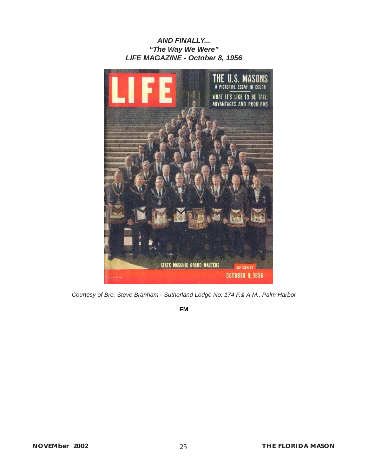#### *AND FINALLY... "The Way We Were" LIFE MAGAZINE - October 8, 1956*



*Courtesy of Bro. Steve Branham - Sutherland Lodge No. 174 F.& A.M., Palm Harbor*